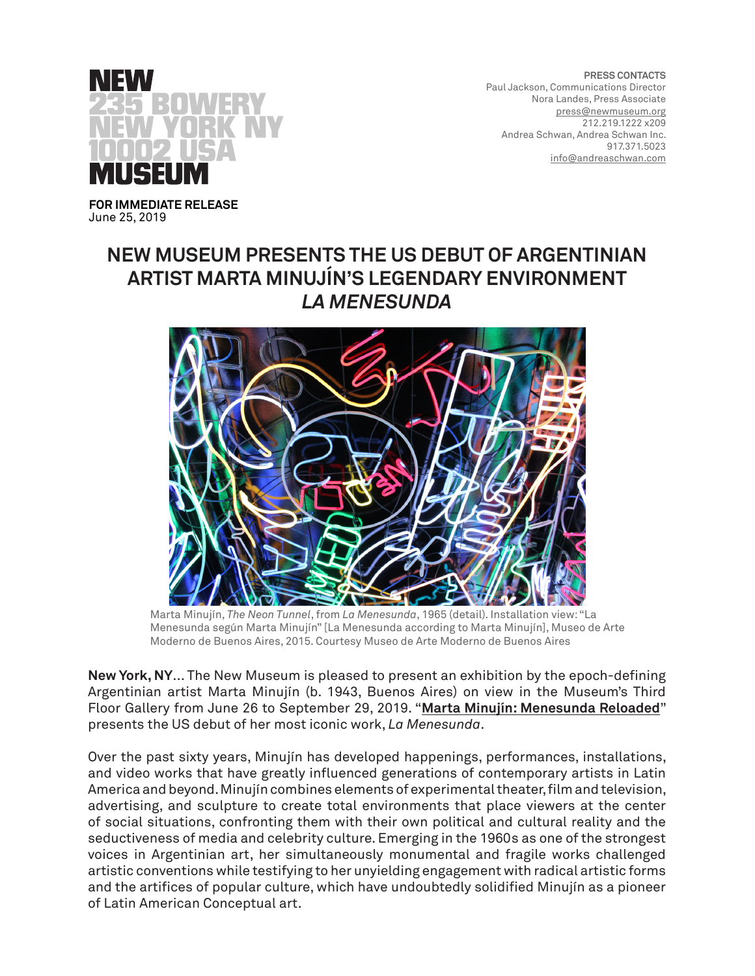

**PRESS CONTACTS** Paul Jackson, Communications Director Nora Landes, Press Associate [press@newmuseum.org](mailto:press%40newmuseum.org%20?subject=) 212.219.1222 x209 Andrea Schwan, Andrea Schwan Inc. 917.371.5023 [info@andreaschwan.com](mailto:info%40andreaschwan.com%20?subject=)

**FOR IMMEDIATE RELEASE** June 25, 2019

# **NEW MUSEUM PRESENTS THE US DEBUT OF ARGENTINIAN ARTIST MARTA MINUJÍN'S LEGENDARY ENVIRONMENT**  *LA MENESUNDA*



Marta Minujín, *The Neon Tunnel*, from *La Menesunda*, 1965 (detail). Installation view: "La Menesunda según Marta Minujín" [La Menesunda according to Marta Minujín], Museo de Arte Moderno de Buenos Aires, 2015. Courtesy Museo de Arte Moderno de Buenos Aires

**New York, NY**... The New Museum is pleased to present an exhibition by the epoch-defining Argentinian artist Marta Minujín (b. 1943, Buenos Aires) on view in the Museum's Third Floor Gallery from June 26 to September 29, 2019. "**[Marta Minujín: Menesunda Reloaded](https://www.newmuseum.org/exhibitions/view/marta-minujin)**" presents the US debut of her most iconic work, *La Menesunda*.

Over the past sixty years, Minujín has developed happenings, performances, installations, and video works that have greatly influenced generations of contemporary artists in Latin America and beyond. Minujín combines elements of experimental theater, film and television, advertising, and sculpture to create total environments that place viewers at the center of social situations, confronting them with their own political and cultural reality and the seductiveness of media and celebrity culture. Emerging in the 1960s as one of the strongest voices in Argentinian art, her simultaneously monumental and fragile works challenged artistic conventions while testifying to her unyielding engagement with radical artistic forms and the artifices of popular culture, which have undoubtedly solidified Minujín as a pioneer of Latin American Conceptual art.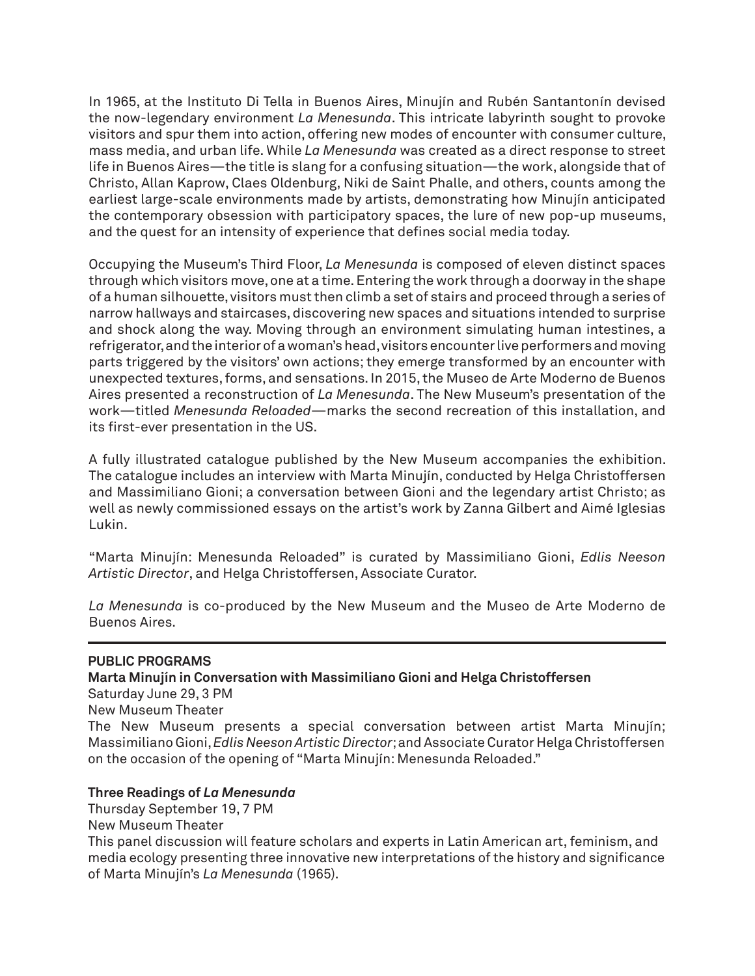In 1965, at the Instituto Di Tella in Buenos Aires, Minujín and Rubén Santantonín devised the now-legendary environment *La Menesunda*. This intricate labyrinth sought to provoke visitors and spur them into action, offering new modes of encounter with consumer culture, mass media, and urban life. While *La Menesunda* was created as a direct response to street life in Buenos Aires—the title is slang for a confusing situation—the work, alongside that of Christo, Allan Kaprow, Claes Oldenburg, Niki de Saint Phalle, and others, counts among the earliest large-scale environments made by artists, demonstrating how Minujín anticipated the contemporary obsession with participatory spaces, the lure of new pop-up museums, and the quest for an intensity of experience that defines social media today.

Occupying the Museum's Third Floor, *La Menesunda* is composed of eleven distinct spaces through which visitors move, one at a time. Entering the work through a doorway in the shape of a human silhouette, visitors must then climb a set of stairs and proceed through a series of narrow hallways and staircases, discovering new spaces and situations intended to surprise and shock along the way. Moving through an environment simulating human intestines, a refrigerator, and the interior of a woman's head, visitors encounter live performers and moving parts triggered by the visitors' own actions; they emerge transformed by an encounter with unexpected textures, forms, and sensations. In 2015, the Museo de Arte Moderno de Buenos Aires presented a reconstruction of *La Menesunda*. The New Museum's presentation of the work—titled *Menesunda Reloaded*—marks the second recreation of this installation, and its first-ever presentation in the US.

A fully illustrated catalogue published by the New Museum accompanies the exhibition. The catalogue includes an interview with Marta Minujín, conducted by Helga Christoffersen and Massimiliano Gioni; a conversation between Gioni and the legendary artist Christo; as well as newly commissioned essays on the artist's work by Zanna Gilbert and Aimé Iglesias Lukin.

"Marta Minujín: Menesunda Reloaded" is curated by Massimiliano Gioni, *Edlis Neeson Artistic Director*, and Helga Christoffersen, Associate Curator.

*La Menesunda* is co-produced by the New Museum and the Museo de Arte Moderno de Buenos Aires.

### **PUBLIC PROGRAMS**

**Marta Minujín in Conversation with Massimiliano Gioni and Helga Christoffersen**

Saturday June 29, 3 PM

New Museum Theater

The New Museum presents a special conversation between artist Marta Minujín; Massimiliano Gioni, *Edlis Neeson Artistic Director*; and Associate Curator Helga Christoffersen on the occasion of the opening of "Marta Minujín: Menesunda Reloaded."

### **Three Readings of** *La Menesunda*

Thursday September 19, 7 PM

New Museum Theater

This panel discussion will feature scholars and experts in Latin American art, feminism, and media ecology presenting three innovative new interpretations of the history and significance of Marta Minujín's *La Menesunda* (1965).